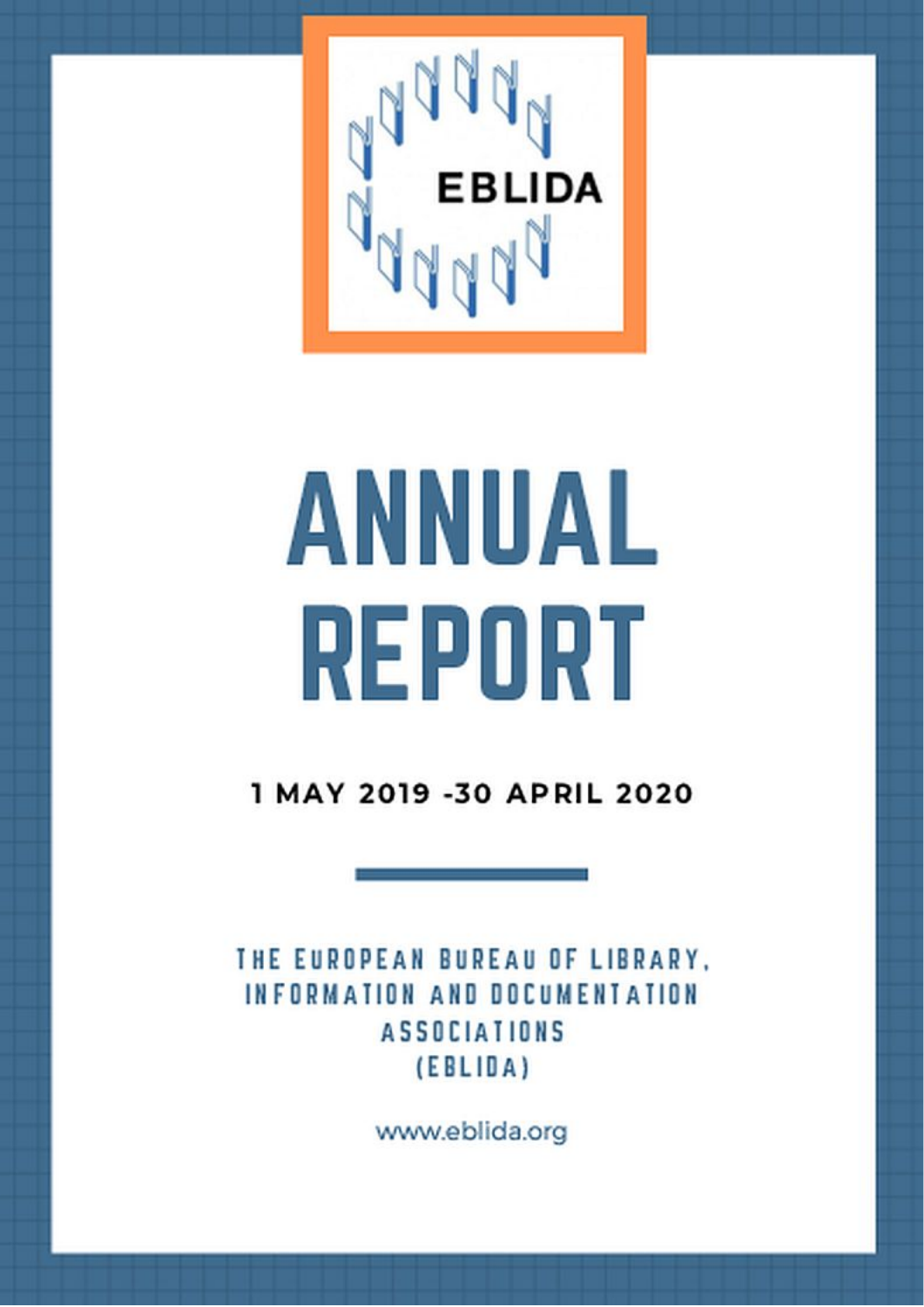

# ANNUAL REPORT

1 MAY 2019 -30 APRIL 2020

THE EUROPEAN BUREAU OF LIBRARY. INFORMATION AND DOCUMENTATION **ASSOCIATIONS**  $(EBLIBA)$ 

www.eblida.org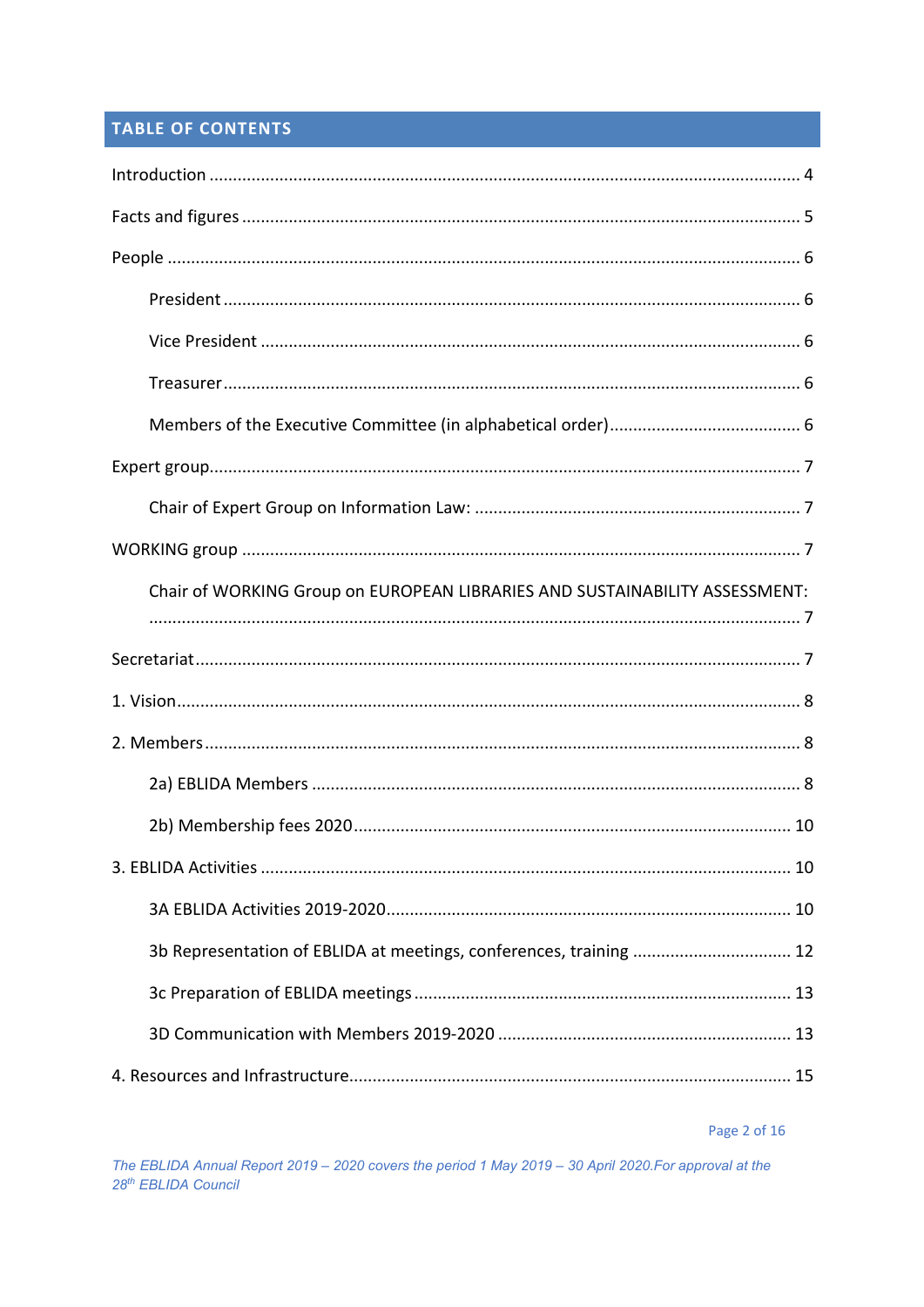# TABLE OF CONTENTS

| Chair of WORKING Group on EUROPEAN LIBRARIES AND SUSTAINABILITY ASSESSMENT: |  |  |  |  |
|-----------------------------------------------------------------------------|--|--|--|--|
|                                                                             |  |  |  |  |
|                                                                             |  |  |  |  |
|                                                                             |  |  |  |  |
|                                                                             |  |  |  |  |
|                                                                             |  |  |  |  |
|                                                                             |  |  |  |  |
|                                                                             |  |  |  |  |
|                                                                             |  |  |  |  |
| 3b Representation of EBLIDA at meetings, conferences, training  12          |  |  |  |  |
|                                                                             |  |  |  |  |
|                                                                             |  |  |  |  |

Page 2 of 16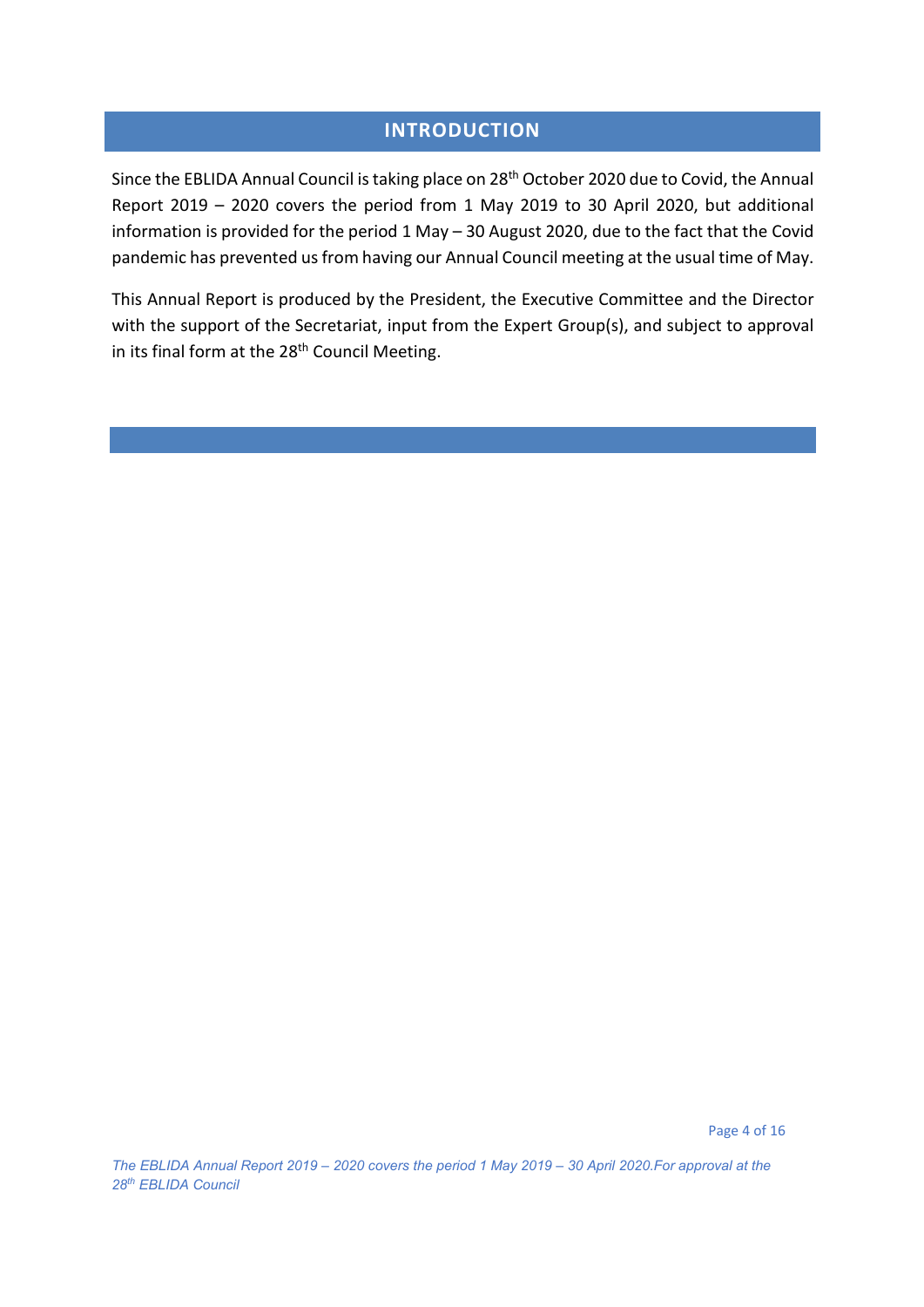# **INTRODUCTION**

<span id="page-3-0"></span>Since the EBLIDA Annual Council is taking place on 28<sup>th</sup> October 2020 due to Covid, the Annual Report 2019 – 2020 covers the period from 1 May 2019 to 30 April 2020, but additional information is provided for the period 1 May – 30 August 2020, due to the fact that the Covid pandemic has prevented us from having our Annual Council meeting at the usual time of May.

This Annual Report is produced by the President, the Executive Committee and the Director with the support of the Secretariat, input from the Expert Group(s), and subject to approval in its final form at the 28<sup>th</sup> Council Meeting.

Page 4 of 16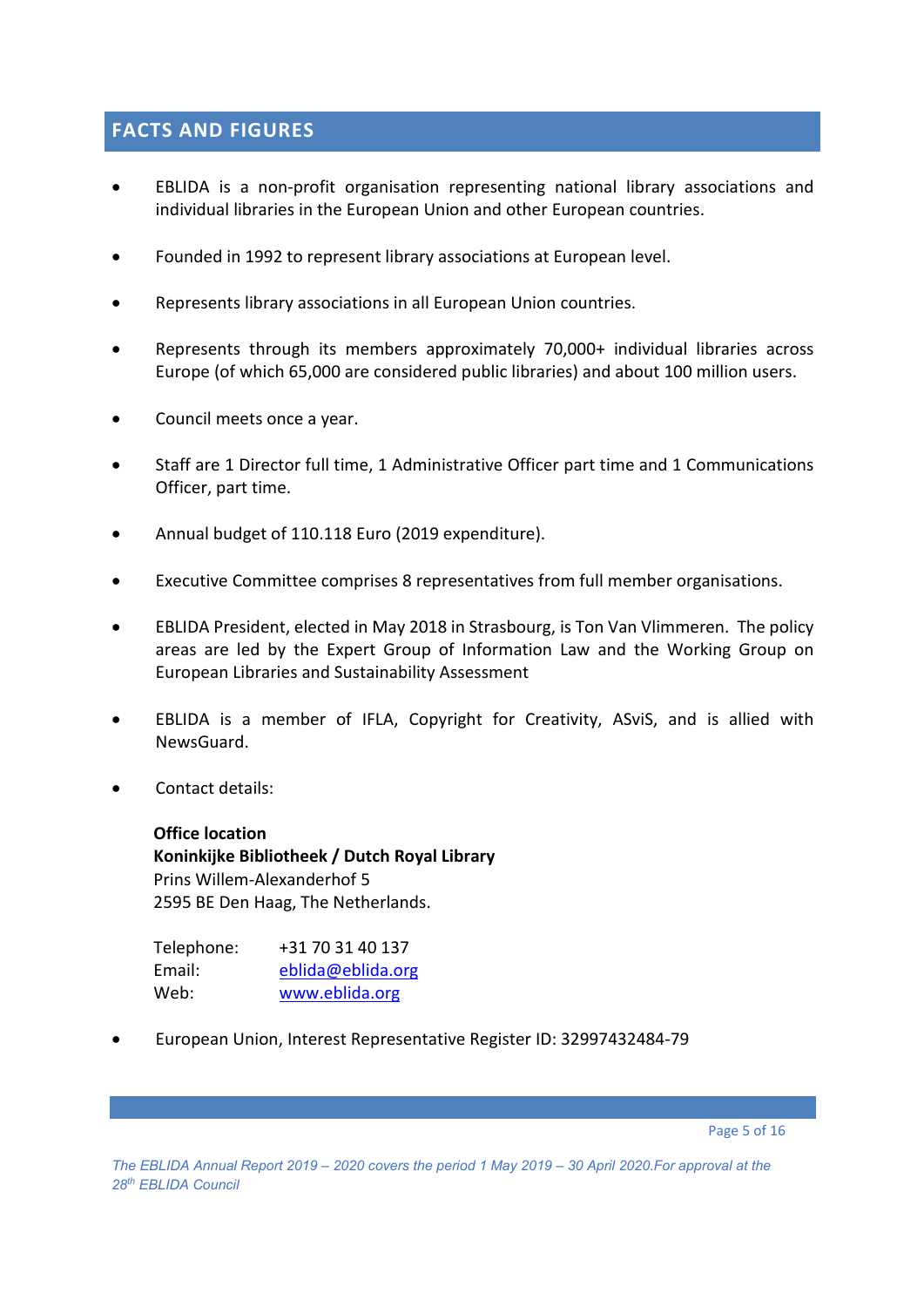## <span id="page-4-0"></span>**FACTS AND FIGURES**

- EBLIDA is a non-profit organisation representing national library associations and individual libraries in the European Union and other European countries.
- Founded in 1992 to represent library associations at European level.
- Represents library associations in all European Union countries.
- Represents through its members approximately 70,000+ individual libraries across Europe (of which 65,000 are considered public libraries) and about 100 million users.
- Council meets once a year.
- Staff are 1 Director full time, 1 Administrative Officer part time and 1 Communications Officer, part time.
- Annual budget of 110.118 Euro (2019 expenditure).
- Executive Committee comprises 8 representatives from full member organisations.
- EBLIDA President, elected in May 2018 in Strasbourg, is Ton Van Vlimmeren. The policy areas are led by the Expert Group of Information Law and the Working Group on European Libraries and Sustainability Assessment
- EBLIDA is a member of IFLA, Copyright for Creativity, ASviS, and is allied with NewsGuard.
- Contact details:

**Office location Koninkijke Bibliotheek / Dutch Royal Library** Prins Willem-Alexanderhof 5 2595 BE Den Haag, The Netherlands.

| Telephone: | +31 70 31 40 137  |
|------------|-------------------|
| Email:     | eblida@eblida.org |
| Web:       | www.eblida.org    |

• European Union, Interest Representative Register ID: 32997432484-79

Page 5 of 16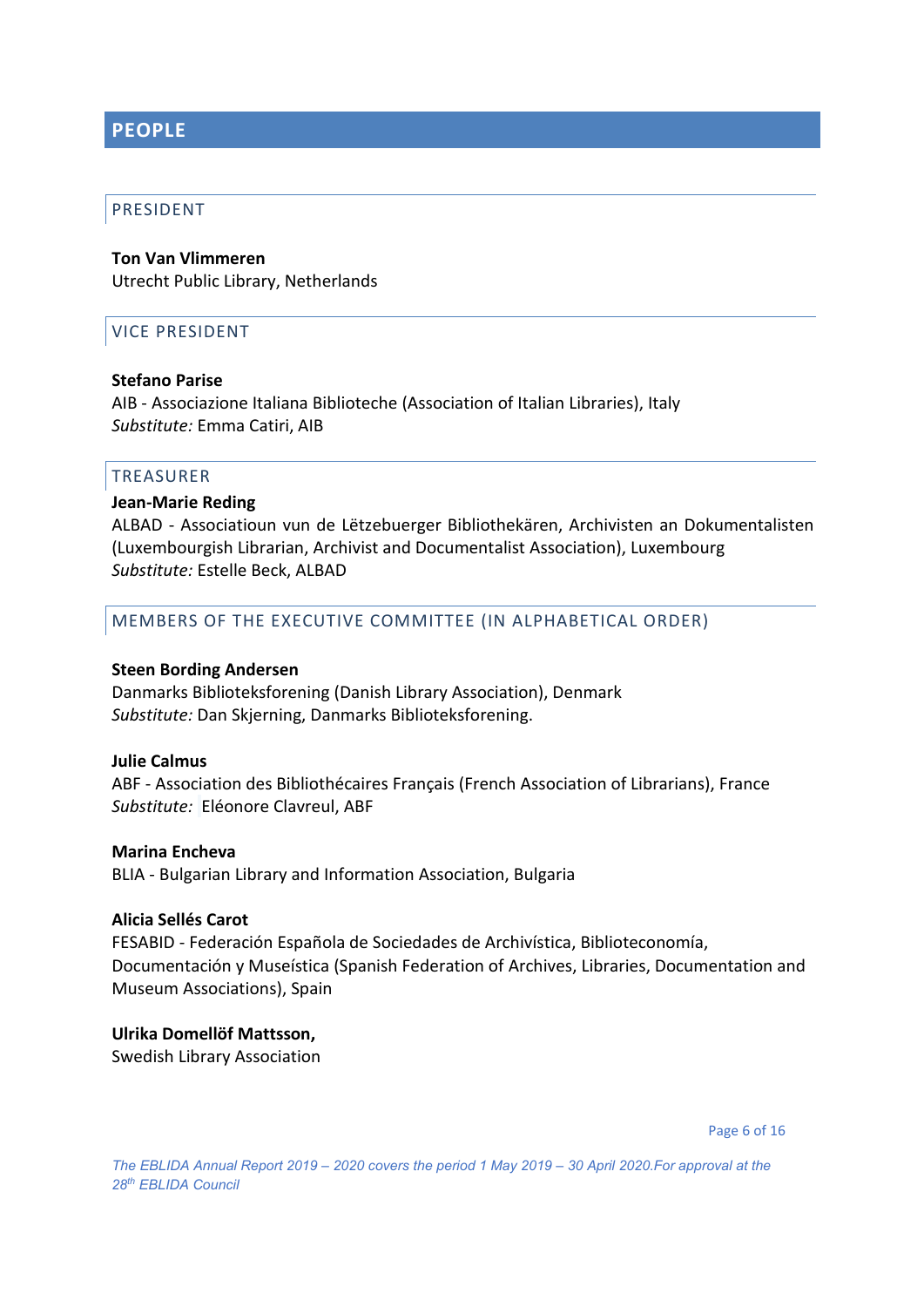## <span id="page-5-0"></span>**PEOPLE**

#### <span id="page-5-1"></span>PRESIDENT

# **Ton Van Vlimmeren**

<span id="page-5-2"></span>Utrecht Public Library, Netherlands

#### VICE PRESIDENT

#### **Stefano Parise**

AIB - Associazione Italiana Biblioteche (Association of Italian Libraries), Italy *Substitute:* Emma Catiri, AIB

#### <span id="page-5-3"></span>TREASURER

#### **Jean-Marie Reding**

ALBAD - Associatioun vun de Lëtzebuerger Bibliothekären, Archivisten an Dokumentalisten (Luxembourgish Librarian, Archivist and Documentalist Association), Luxembourg *Substitute:* Estelle Beck, ALBAD

#### <span id="page-5-4"></span>MEMBERS OF THE EXECUTIVE COMMITTEE (IN ALPHABETICAL ORDER)

#### **Steen Bording Andersen**

Danmarks Biblioteksforening (Danish Library Association), Denmark *Substitute:* Dan Skjerning, Danmarks Biblioteksforening.

#### **Julie Calmus**

ABF - Association des Bibliothécaires Français (French Association of Librarians), France *Substitute:* Eléonore Clavreul, ABF

#### **Marina Encheva**

BLIA - Bulgarian Library and Information Association, Bulgaria

#### **Alicia Sellés Carot**

FESABID - Federación Española de Sociedades de Archivística, Biblioteconomía, Documentación y Museística (Spanish Federation of Archives, Libraries, Documentation and Museum Associations), Spain

#### **Ulrika Domellöf Mattsson,**

Swedish Library Association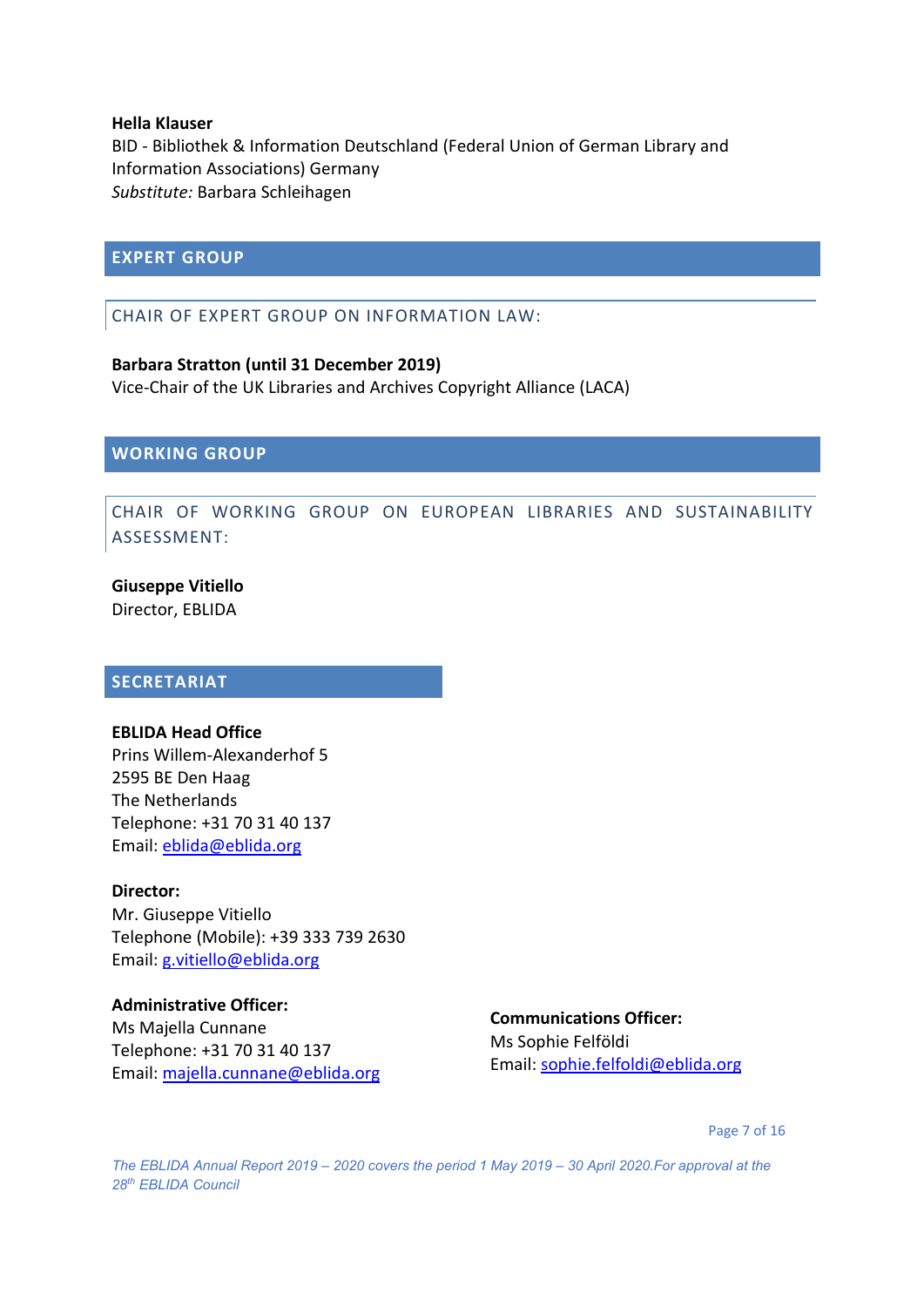#### **Hella Klauser**

BID - Bibliothek & Information Deutschland (Federal Union of German Library and Information Associations) Germany *Substitute:* Barbara Schleihagen

#### <span id="page-6-1"></span><span id="page-6-0"></span>**EXPERT GROUP**

#### CHAIR OF EXPERT GROUP ON INFORMATION LAW:

#### **Barbara Stratton (until 31 December 2019)**

Vice-Chair of the UK Libraries and Archives Copyright Alliance (LACA)

<span id="page-6-3"></span><span id="page-6-2"></span>**WORKING GROUP**

#### CHAIR OF WORKING GROUP ON EUROPEAN LIBRARIES AND SUSTAINABILITY ASSESSMENT:

#### **Giuseppe Vitiello**

Director, EBLIDA

#### <span id="page-6-4"></span>**SECRETARIAT**

#### **EBLIDA Head Office**

Prins Willem-Alexanderhof 5 2595 BE Den Haag The Netherlands Telephone: +31 70 31 40 137 Email: [eblida@eblida.org](mailto:eblida@eblida.org)

#### **Director:**

Mr. Giuseppe Vitiello Telephone (Mobile): +39 333 739 2630 Email: [g.vitiello@eblida.org](mailto:g.vitiello@eblida.org)

#### **Administrative Officer:**

Ms Majella Cunnane Telephone: +31 70 31 40 137 Email: [majella.cunnane@eblida.org](mailto:majella.cunnane@eblida.org)

#### **Communications Officer:**

Ms Sophie Felföldi Email: [sophie.felfoldi@eblida.org](mailto:sophie.felfoldi@eblida.org)

Page 7 of 16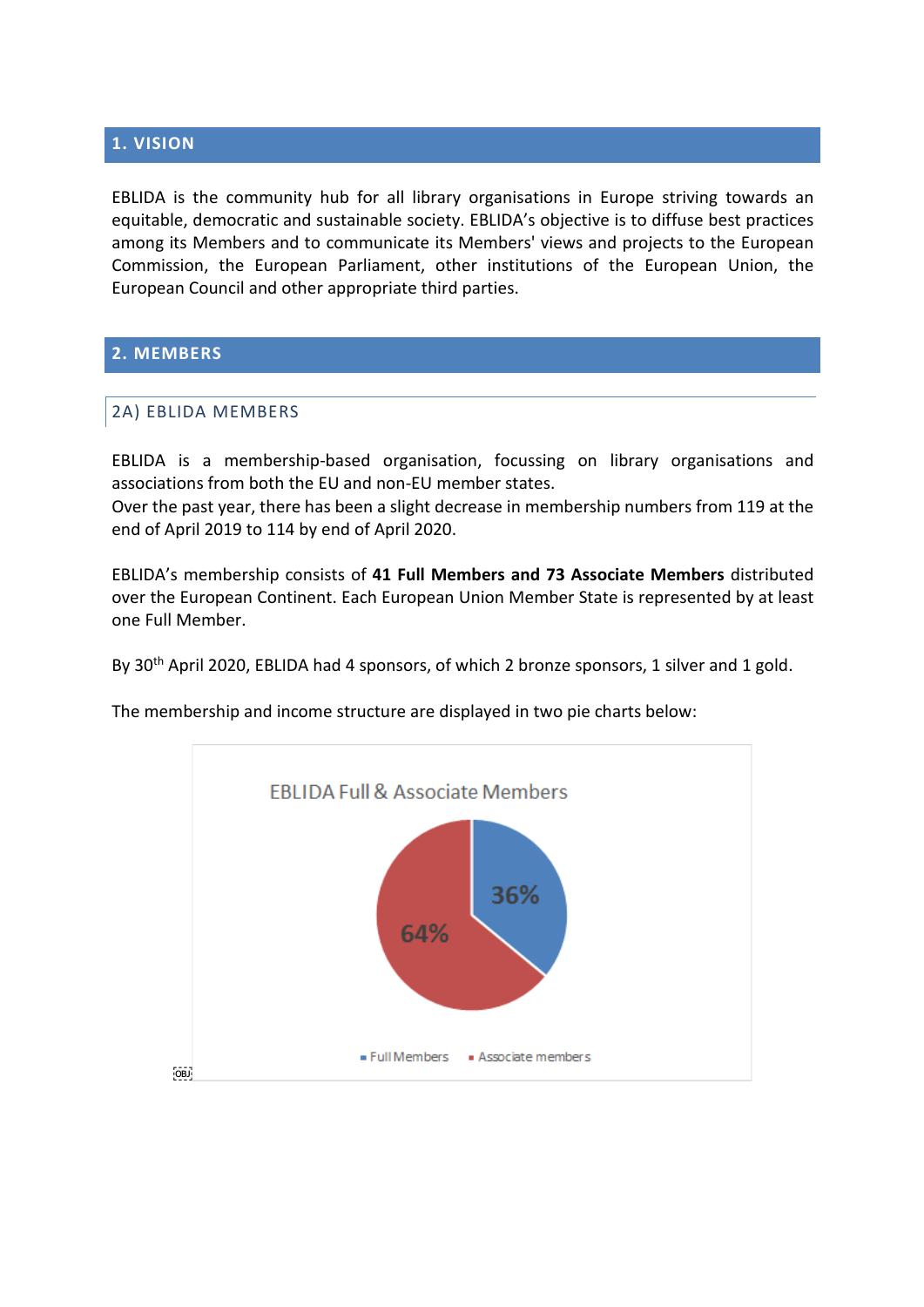#### <span id="page-7-0"></span>**1. VISION**

EBLIDA is the community hub for all library organisations in Europe striving towards an equitable, democratic and sustainable society. EBLIDA's objective is to diffuse best practices among its Members and to communicate its Members' views and projects to the European Commission, the European Parliament, other institutions of the European Union, the European Council and other appropriate third parties.

#### <span id="page-7-2"></span><span id="page-7-1"></span>**2. MEMBERS**

#### 2A) EBLIDA MEMBERS

EBLIDA is a membership-based organisation, focussing on library organisations and associations from both the EU and non-EU member states.

Over the past year, there has been a slight decrease in membership numbers from 119 at the end of April 2019 to 114 by end of April 2020.

EBLIDA's membership consists of **41 Full Members and 73 Associate Members** distributed over the European Continent. Each European Union Member State is represented by at least one Full Member.

By 30<sup>th</sup> April 2020, EBLIDA had 4 sponsors, of which 2 bronze sponsors, 1 silver and 1 gold.

The membership and income structure are displayed in two pie charts below:

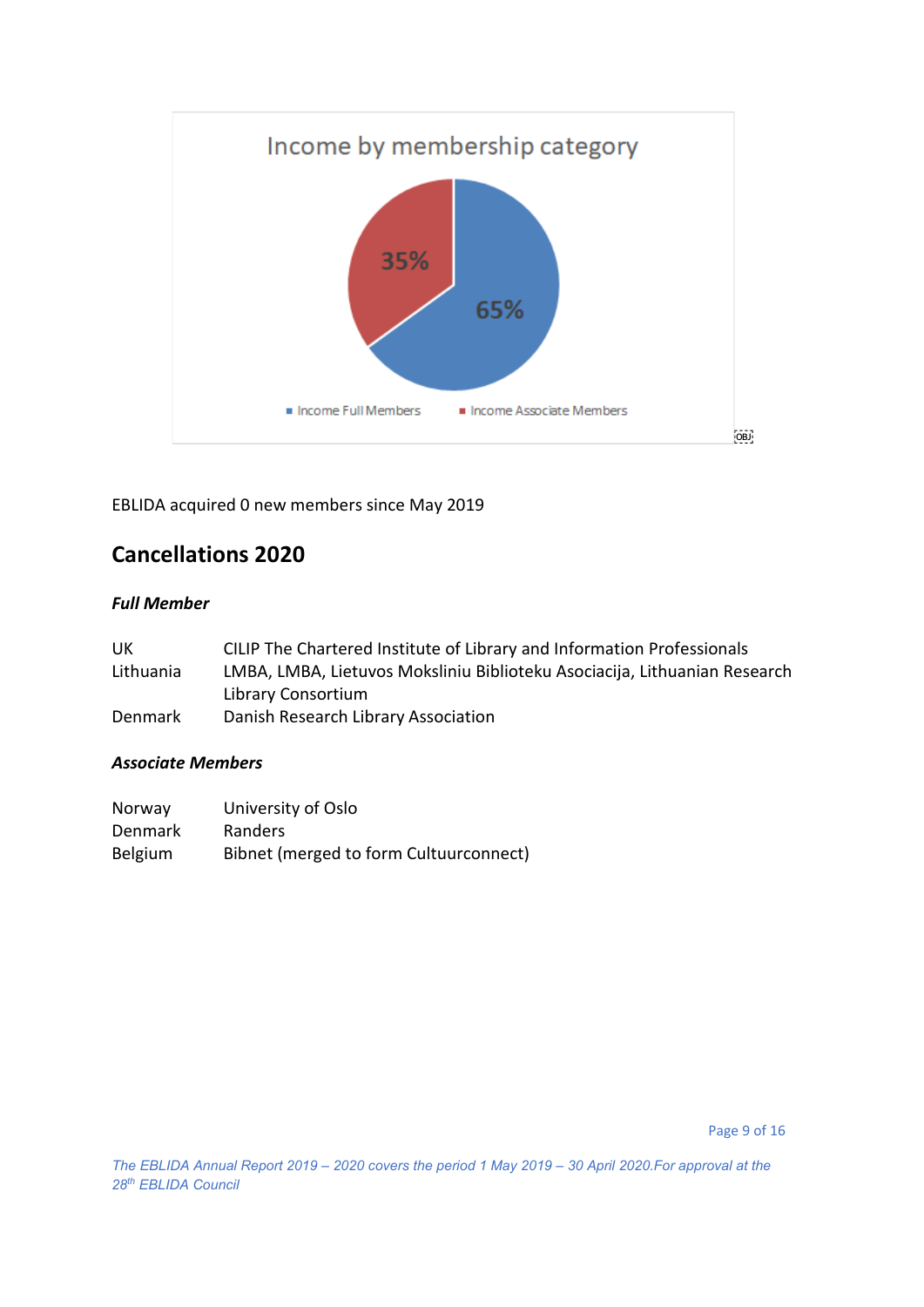

EBLIDA acquired 0 new members since May 2019

# **Cancellations 2020**

#### *Full Member*

| UK        | CILIP The Chartered Institute of Library and Information Professionals    |
|-----------|---------------------------------------------------------------------------|
| Lithuania | LMBA, LMBA, Lietuvos Moksliniu Biblioteku Asociacija, Lithuanian Research |
|           | Library Consortium                                                        |
| Denmark   | Danish Research Library Association                                       |

#### *Associate Members*

| Norway         | University of Oslo                     |
|----------------|----------------------------------------|
| Denmark        | <b>Randers</b>                         |
| <b>Belgium</b> | Bibnet (merged to form Cultuurconnect) |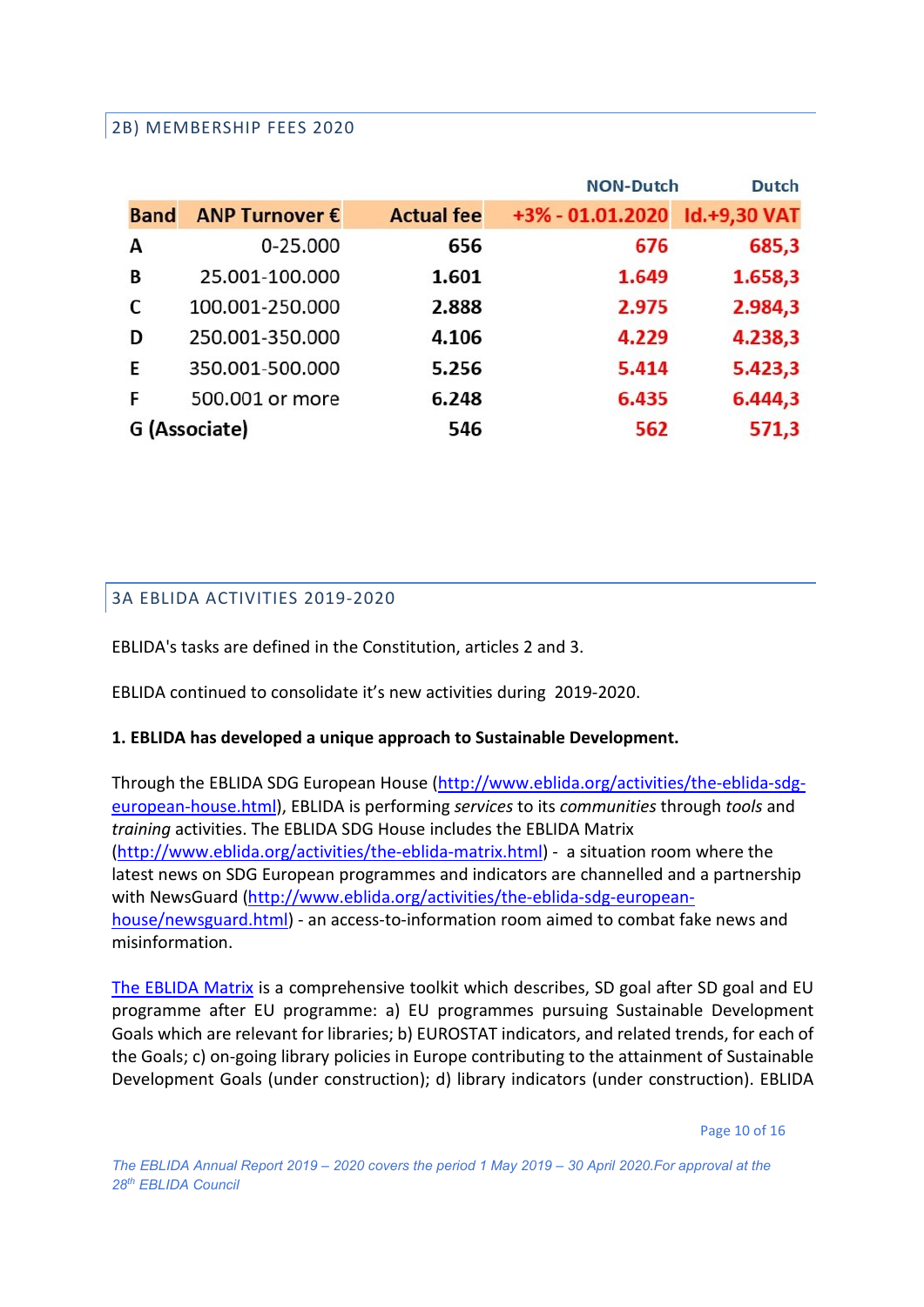#### <span id="page-9-0"></span>2B) MEMBERSHIP FEES 2020

|               |                 |                   | <b>NON-Dutch</b>              | <b>Dutch</b> |
|---------------|-----------------|-------------------|-------------------------------|--------------|
| <b>Band</b>   | ANP Turnover €  | <b>Actual fee</b> | +3% - 01.01.2020 Id.+9,30 VAT |              |
| А             | 0-25.000        | 656               | 676                           | 685,3        |
| B             | 25.001-100.000  | 1.601             | 1.649                         | 1.658,3      |
| C             | 100.001-250.000 | 2.888             | 2.975                         | 2.984,3      |
| D             | 250.001-350.000 | 4.106             | 4.229                         | 4.238,3      |
| E             | 350.001-500.000 | 5.256             | 5.414                         | 5.423,3      |
| F             | 500.001 or more | 6.248             | 6.435                         | 6.444,3      |
| G (Associate) |                 | 546               | 562                           | 571,3        |

#### <span id="page-9-2"></span><span id="page-9-1"></span>3A EBLIDA ACTIVITIES 2019-2020

EBLIDA's tasks are defined in the Constitution, articles 2 and 3.

EBLIDA continued to consolidate it's new activities during 2019-2020.

#### **1. EBLIDA has developed a unique approach to Sustainable Development.**

Through the EBLIDA SDG European House [\(http://www.eblida.org/activities/the-eblida-sdg](http://www.eblida.org/activities/the-eblida-sdg-european-house.html)[european-house.html\)](http://www.eblida.org/activities/the-eblida-sdg-european-house.html), EBLIDA is performing *services* to its *communities* through *tools* and *training* activities. The EBLIDA SDG House includes the EBLIDA Matrix [\(http://www.eblida.org/activities/the-eblida-matrix.html\)](http://www.eblida.org/activities/the-eblida-matrix.html) - a situation room where the latest news on SDG European programmes and indicators are channelled and a partnership with NewsGuard [\(http://www.eblida.org/activities/the-eblida-sdg-european](http://www.eblida.org/activities/the-eblida-sdg-european-house/newsguard.html)[house/newsguard.html\)](http://www.eblida.org/activities/the-eblida-sdg-european-house/newsguard.html) - an access-to-information room aimed to combat fake news and misinformation.

[The EBLIDA Matrix](http://www.eblida.org/activities/the-eblida-matrix.html) is a comprehensive toolkit which describes, SD goal after SD goal and EU programme after EU programme: a) EU programmes pursuing Sustainable Development Goals which are relevant for libraries; b) EUROSTAT indicators, and related trends, for each of the Goals; c) on-going library policies in Europe contributing to the attainment of Sustainable Development Goals (under construction); d) library indicators (under construction). EBLIDA

Page 10 of 16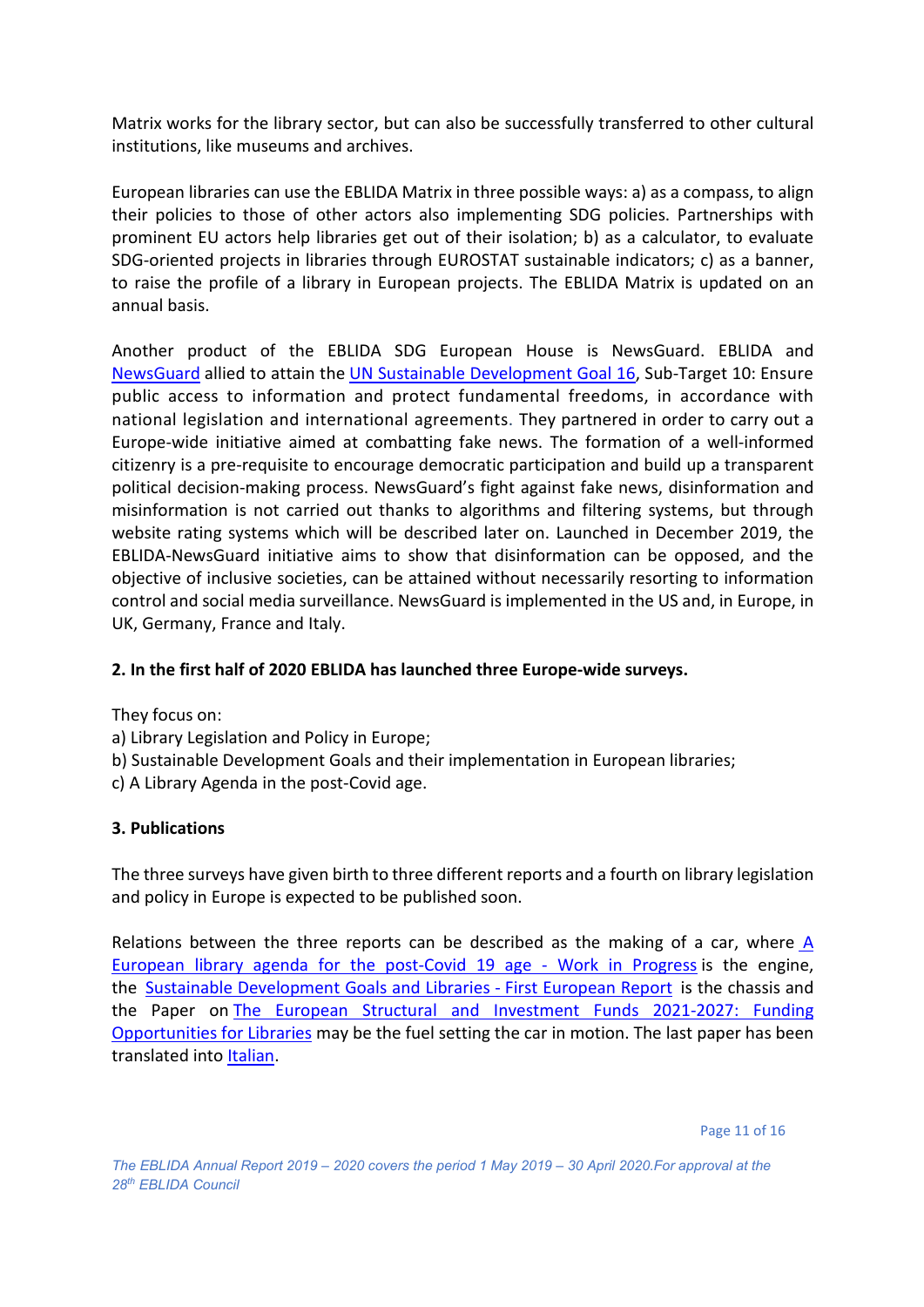Matrix works for the library sector, but can also be successfully transferred to other cultural institutions, like museums and archives.

European libraries can use the EBLIDA Matrix in three possible ways: a) as a compass, to align their policies to those of other actors also implementing SDG policies. Partnerships with prominent EU actors help libraries get out of their isolation; b) as a calculator, to evaluate SDG-oriented projects in libraries through EUROSTAT sustainable indicators; c) as a banner, to raise the profile of a library in European projects. The EBLIDA Matrix is updated on an annual basis.

Another product of the EBLIDA SDG European House is NewsGuard. EBLIDA and [NewsGuard](https://www.newsguardtech.com/news-literacy/) allied to attain the UN Sustainable [Development](https://sustainabledevelopment.un.org/sdg16) Goal 16, Sub-Target 10: Ensure public access to information and protect fundamental freedoms, in accordance with national legislation and international agreements. They partnered in order to carry out a Europe-wide initiative aimed at combatting fake news. The formation of a well-informed citizenry is a pre-requisite to encourage democratic participation and build up a transparent political decision-making process. NewsGuard's fight against fake news, disinformation and misinformation is not carried out thanks to algorithms and filtering systems, but through website rating systems which will be described later on. Launched in December 2019, the EBLIDA-NewsGuard initiative aims to show that disinformation can be opposed, and the objective of inclusive societies, can be attained without necessarily resorting to information control and social media surveillance. NewsGuard is implemented in the US and, in Europe, in UK, Germany, France and Italy.

#### **2. In the first half of 2020 EBLIDA has launched three Europe-wide surveys.**

They focus on:

- a) Library Legislation and Policy in Europe;
- b) Sustainable Development Goals and their implementation in European libraries;
- c) A Library Agenda in the post-Covid age.

#### **3. Publications**

The three surveys have given birth to three different reports and a fourth on library legislation and policy in Europe is expected to be published soon.

Relations between the three reports can be described as the making of a car, where [A](http://www.eblida.org/Documents/EBLIDA-Preparing-a-European-library-agenda-for-the-post-Covid-19-age.pdf)  [European library agenda for the post-Covid 19 age -](http://www.eblida.org/Documents/EBLIDA-Preparing-a-European-library-agenda-for-the-post-Covid-19-age.pdf) Work in Progress is the engine, the Sustainable [Development Goals and Libraries -](http://www.eblida.org/Documents/EBLIDA-Report-SDGs-and-their-implementation-in-European-libraries.pdf) First European Report is the chassis and the Paper on [The European Structural and Investment Funds 2021-2027: Funding](http://www.eblida.org/Documents/The-European-Structural-and-Investment-Funds_%202021-2027.pdf)  [Opportunities for Libraries](http://www.eblida.org/Documents/The-European-Structural-and-Investment-Funds_%202021-2027.pdf) may be the fuel setting the car in motion. The last paper has been translated into [Italian.](mailto:http://www.eblida.org/Documents/The-European-Structural-and-Investment-Funds_%202021-2027_it.pdf)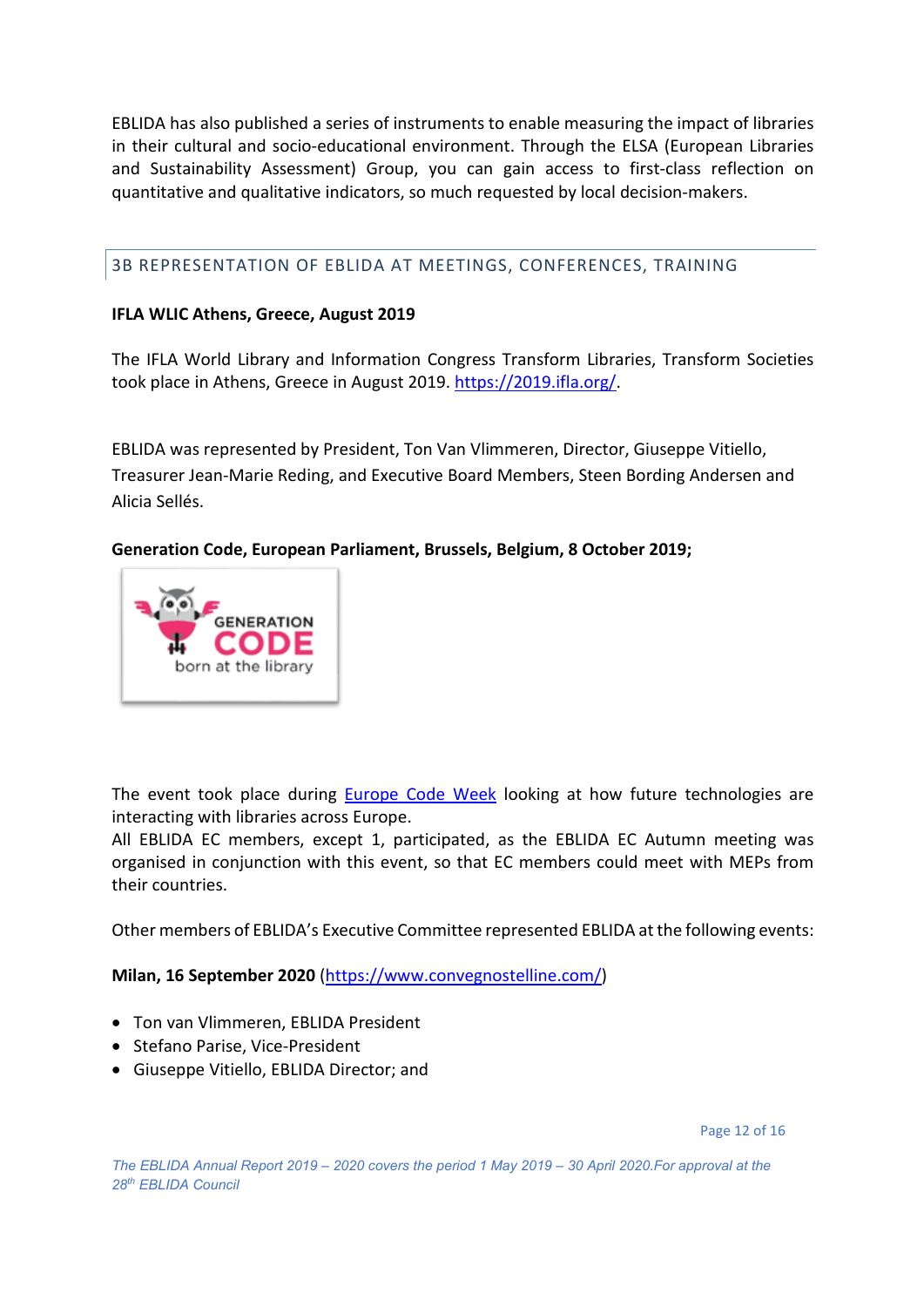EBLIDA has also published a series of instruments to enable measuring the impact of libraries in their cultural and socio-educational environment. Through the ELSA (European Libraries and Sustainability Assessment) Group, you can gain access to first-class reflection on quantitative and qualitative indicators, so much requested by local decision-makers.

<span id="page-11-0"></span>3B REPRESENTATION OF EBLIDA AT MEETINGS, CONFERENCES, TRAINING

#### **IFLA WLIC Athens, Greece, August 2019**

The IFLA World Library and Information Congress Transform Libraries, Transform Societies took place in Athens, Greece in August 2019. [https://2019.ifla.org/.](https://2019.ifla.org/)

EBLIDA was represented by President, Ton Van Vlimmeren, Director, Giuseppe Vitiello, Treasurer Jean-Marie Reding, and Executive Board Members, Steen Bording Andersen and Alicia Sellés.

**Generation Code, European Parliament, Brussels, Belgium, 8 October 2019;** 



The event took place during [Europe Code Week](https://www.facebook.com/codeEU/) looking at how future technologies are interacting with libraries across Europe.

All EBLIDA EC members, except 1, participated, as the EBLIDA EC Autumn meeting was organised in conjunction with this event, so that EC members could meet with MEPs from their countries.

Other members of EBLIDA's Executive Committee represented EBLIDA at the following events:

**Milan, 16 September 2020** [\(https://www.convegnostelline.com/\)](https://www.convegnostelline.com/)

- Ton van Vlimmeren, EBLIDA President
- Stefano Parise, Vice-President
- Giuseppe Vitiello, EBLIDA Director; and

Page 12 of 16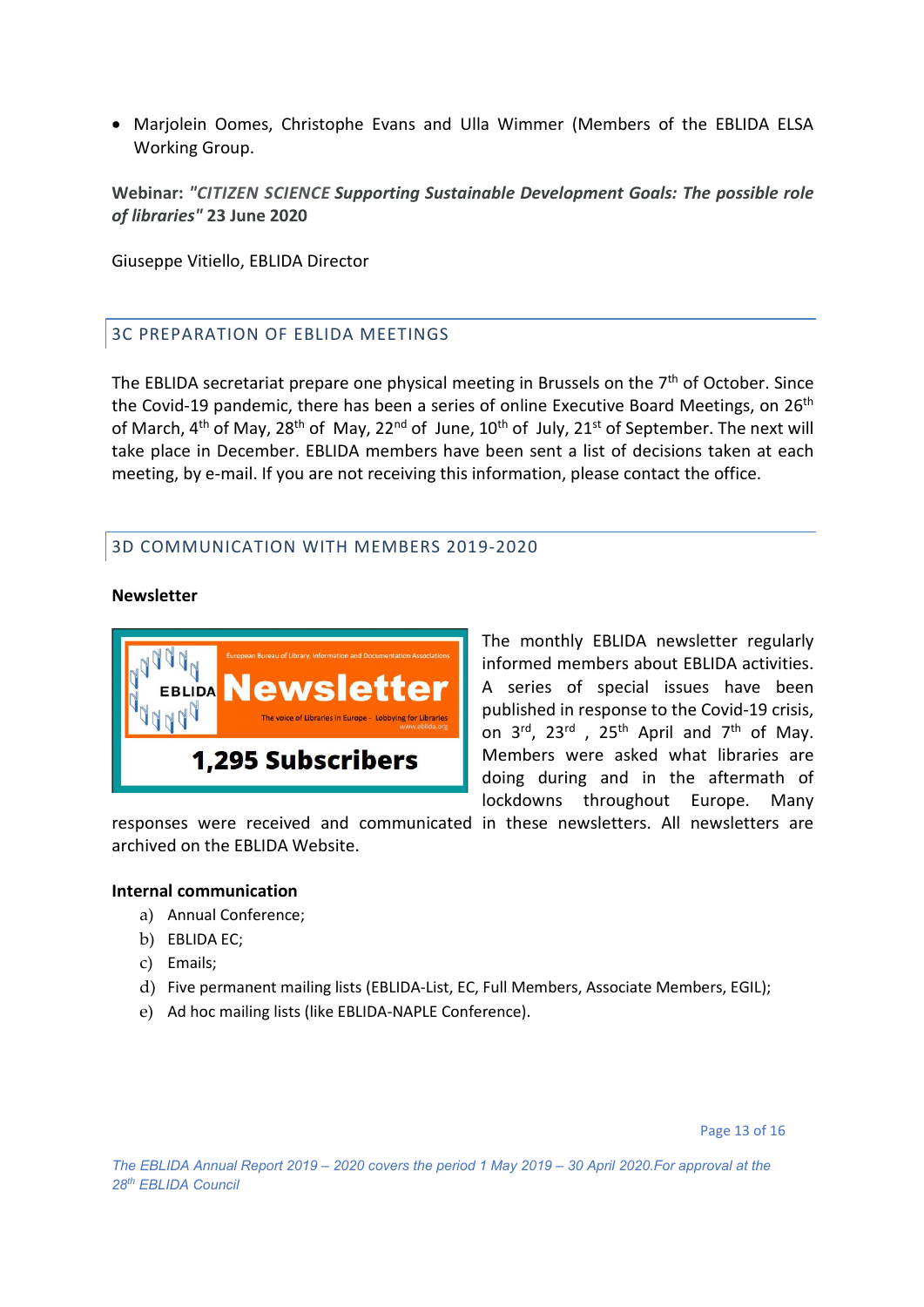• Marjolein Oomes, Christophe Evans and Ulla Wimmer (Members of the EBLIDA ELSA Working Group.

**Webinar:** *"CITIZEN SCIENCE Supporting Sustainable Development Goals: The possible role of libraries"* **23 June 2020**

Giuseppe Vitiello, EBLIDA Director

#### <span id="page-12-0"></span>3C PREPARATION OF EBLIDA MEETINGS

The EBLIDA secretariat prepare one physical meeting in Brussels on the  $7<sup>th</sup>$  of October. Since the Covid-19 pandemic, there has been a series of online Executive Board Meetings, on  $26<sup>th</sup>$ of March,  $4^{th}$  of May,  $28^{th}$  of May,  $22^{nd}$  of June,  $10^{th}$  of July,  $21^{st}$  of September. The next will take place in December. EBLIDA members have been sent a list of decisions taken at each meeting, by e-mail. If you are not receiving this information, please contact the office.

#### <span id="page-12-1"></span>3D COMMUNICATION WITH MEMBERS 2019-2020

#### **Newsletter**



The monthly EBLIDA newsletter regularly informed members about EBLIDA activities. A series of special issues have been published in response to the Covid-19 crisis, on  $3^{\text{rd}}$ ,  $23^{\text{rd}}$  ,  $25^{\text{th}}$  April and  $7^{\text{th}}$  of May. Members were asked what libraries are doing during and in the aftermath of lockdowns throughout Europe. Many

responses were received and communicated in these newsletters. All newsletters are archived on the EBLIDA Website.

#### **Internal communication**

- a) Annual Conference;
- b) EBLIDA EC;
- c) Emails;
- d) Five permanent mailing lists (EBLIDA-List, EC, Full Members, Associate Members, EGIL);
- e) Ad hoc mailing lists (like EBLIDA-NAPLE Conference).

Page 13 of 16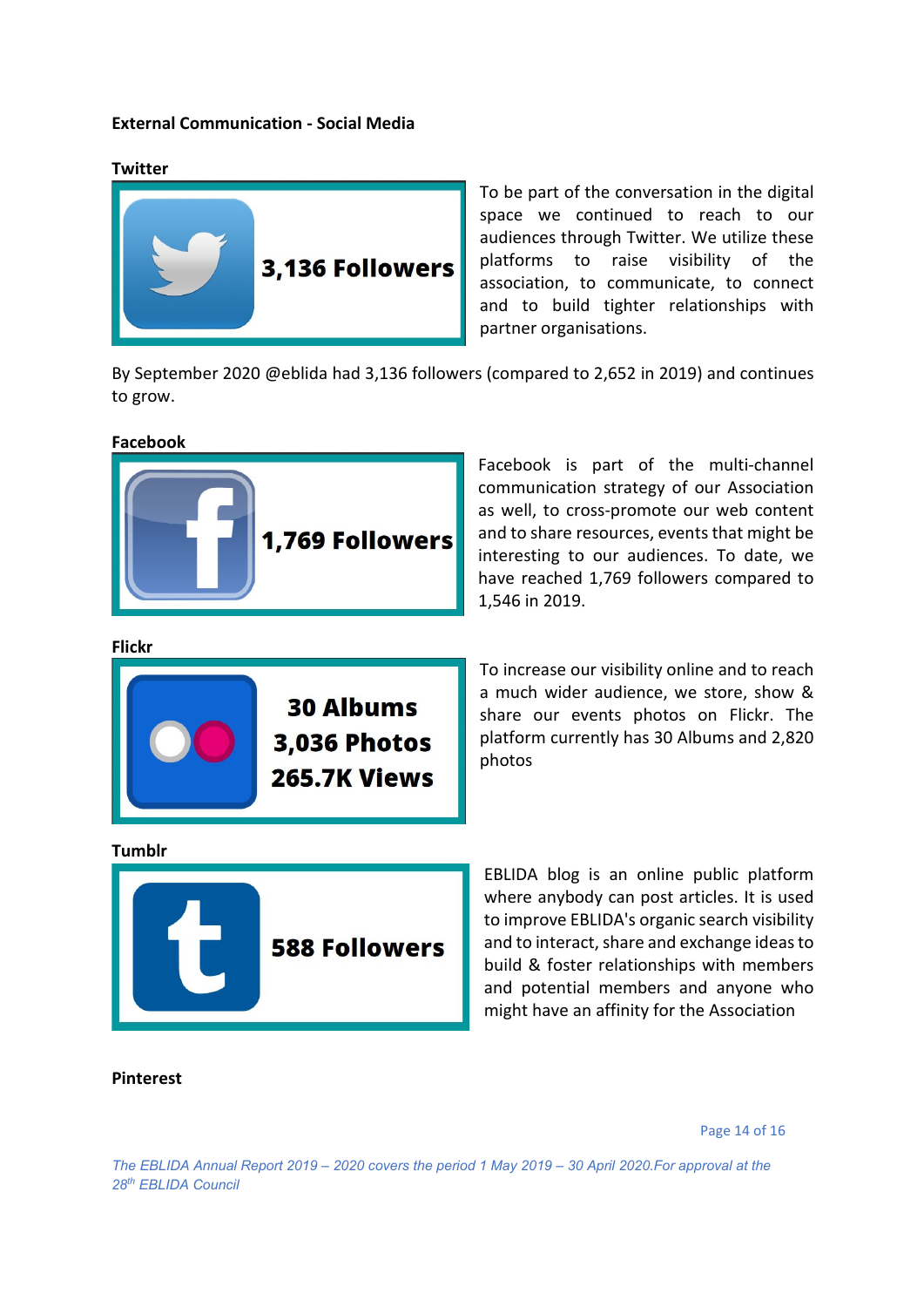#### **External Communication - Social Media**



To be part of the conversation in the digital space we continued to reach to our audiences through Twitter. We utilize these platforms to raise visibility of the association, to communicate, to connect and to build tighter relationships with partner organisations.

By September 2020 @eblida had 3,136 followers (compared to 2,652 in 2019) and continues to grow.

**Facebook**



Facebook is part of the multi-channel communication strategy of our Association as well, to cross-promote our web content and to share resources, events that might be interesting to our audiences. To date, we have reached 1,769 followers compared to 1,546 in 2019.

**Flickr**



To increase our visibility online and to reach a much wider audience, we store, show & share our events photos on Flickr. The platform currently has 30 Albums and 2,820 photos

**Tumblr**



EBLIDA blog is an online public platform where anybody can post articles. It is used to improve EBLIDA's organic search visibility and to interact, share and exchange ideas to build & foster relationships with members and potential members and anyone who might have an affinity for the Association

**Pinterest**

Page 14 of 16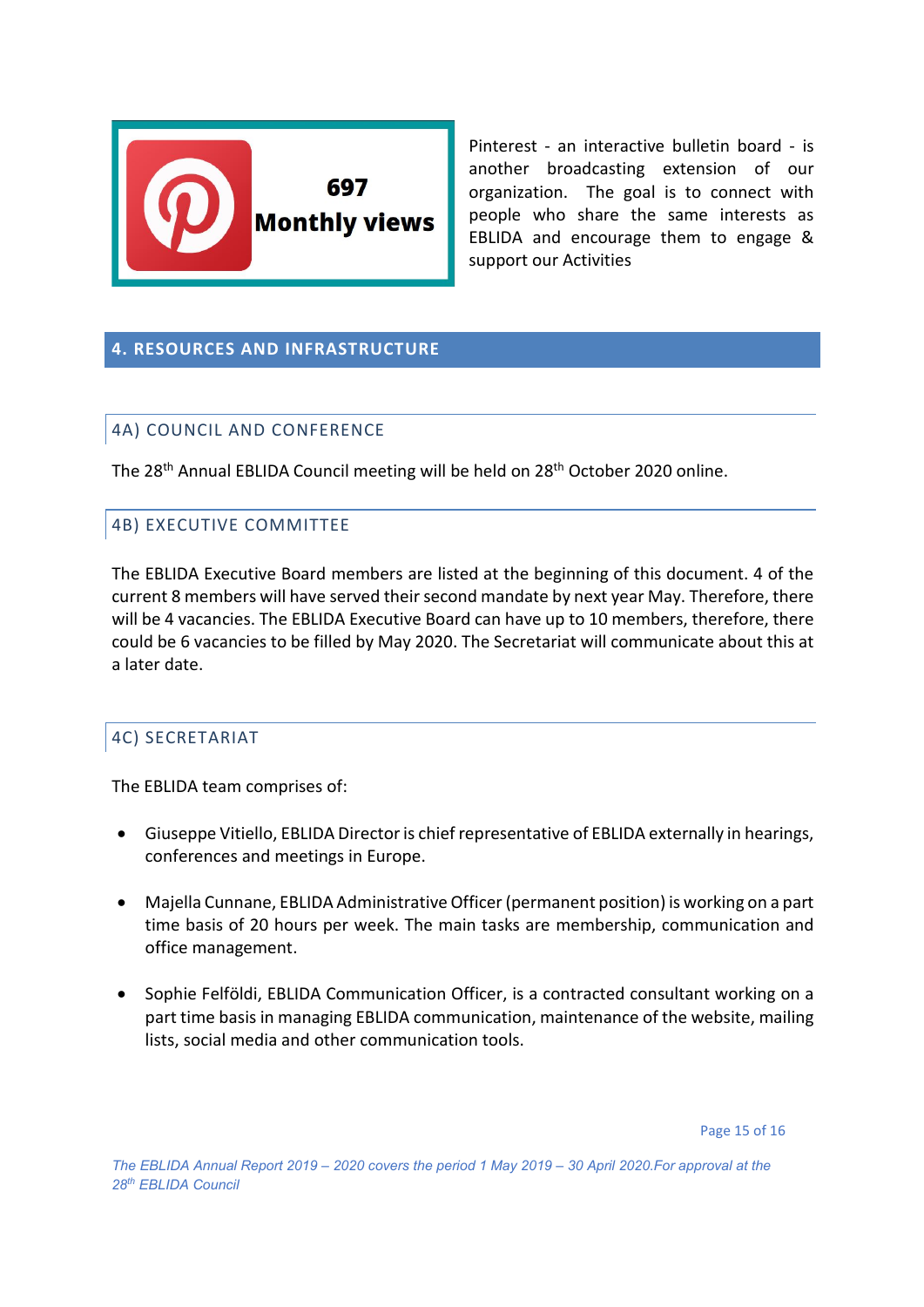

Pinterest - an interactive bulletin board - is another broadcasting extension of our organization. The goal is to connect with people who share the same interests as EBLIDA and encourage them to engage & support our Activities

#### <span id="page-14-0"></span>**4. RESOURCES AND INFRASTRUCTURE**

#### <span id="page-14-1"></span>4A) COUNCIL AND CONFERENCE

The 28<sup>th</sup> Annual EBLIDA Council meeting will be held on 28<sup>th</sup> October 2020 online.

#### <span id="page-14-2"></span>4B) EXECUTIVE COMMITTEE

The EBLIDA Executive Board members are listed at the beginning of this document. 4 of the current 8 members will have served their second mandate by next year May. Therefore, there will be 4 vacancies. The EBLIDA Executive Board can have up to 10 members, therefore, there could be 6 vacancies to be filled by May 2020. The Secretariat will communicate about this at a later date.

#### <span id="page-14-3"></span>4C) SECRETARIAT

The EBLIDA team comprises of:

- Giuseppe Vitiello, EBLIDA Director is chief representative of EBLIDA externally in hearings, conferences and meetings in Europe.
- Majella Cunnane, EBLIDA Administrative Officer(permanent position) is working on a part time basis of 20 hours per week. The main tasks are membership, communication and office management.
- Sophie Felföldi, EBLIDA Communication Officer, is a contracted consultant working on a part time basis in managing EBLIDA communication, maintenance of the website, mailing lists, social media and other communication tools.

Page 15 of 16